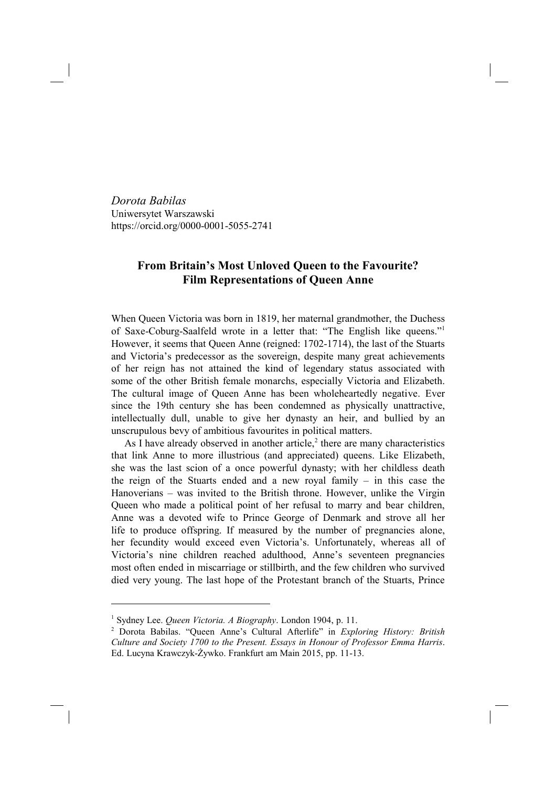*Dorota Babilas* Uniwersytet Warszawski https://orcid.org/0000-0001-5055-2741

## **From Britain's Most Unloved Queen to the Favourite? Film Representations of Queen Anne**

When Queen Victoria was born in 1819, her maternal grandmother, the Duchess of Saxe-Coburg-Saalfeld wrote in a letter that: "The English like queens."1 However, it seems that Queen Anne (reigned: 1702-1714), the last of the Stuarts and Victoria's predecessor as the sovereign, despite many great achievements of her reign has not attained the kind of legendary status associated with some of the other British female monarchs, especially Victoria and Elizabeth. The cultural image of Queen Anne has been wholeheartedly negative. Ever since the 19th century she has been condemned as physically unattractive, intellectually dull, unable to give her dynasty an heir, and bullied by an unscrupulous bevy of ambitious favourites in political matters.

As I have already observed in another article, $2$  there are many characteristics that link Anne to more illustrious (and appreciated) queens. Like Elizabeth, she was the last scion of a once powerful dynasty; with her childless death the reign of the Stuarts ended and a new royal family – in this case the Hanoverians – was invited to the British throne. However, unlike the Virgin Queen who made a political point of her refusal to marry and bear children, Anne was a devoted wife to Prince George of Denmark and strove all her life to produce offspring. If measured by the number of pregnancies alone, her fecundity would exceed even Victoria's. Unfortunately, whereas all of Victoria's nine children reached adulthood, Anne's seventeen pregnancies most often ended in miscarriage or stillbirth, and the few children who survived died very young. The last hope of the Protestant branch of the Stuarts, Prince

<sup>1</sup> Sydney Lee. *Queen Victoria. A Biography*. London 1904, p. 11.

<sup>2</sup> Dorota Babilas. "Queen Anne's Cultural Afterlife" in *Exploring History: British Culture and Society 1700 to the Present. Essays in Honour of Professor Emma Harris*. Ed. Lucyna Krawczyk-Żywko. Frankfurt am Main 2015, pp. 11-13.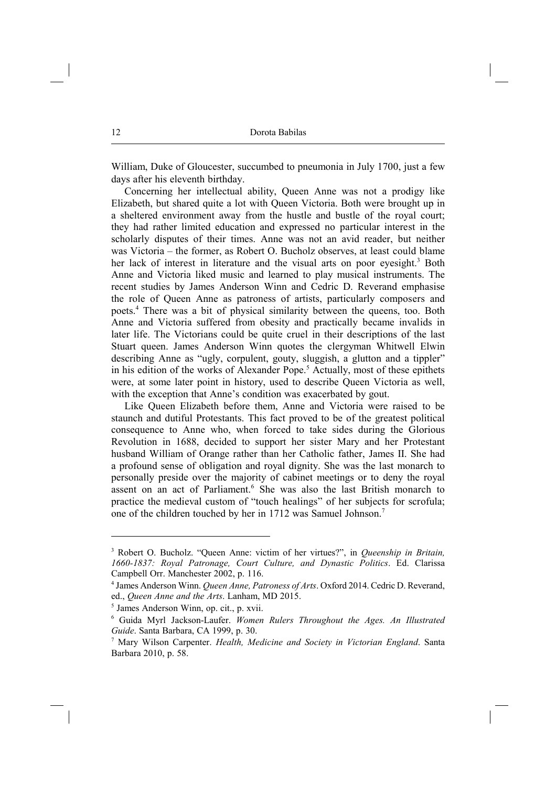William, Duke of Gloucester, succumbed to pneumonia in July 1700, just a few days after his eleventh birthday.

Concerning her intellectual ability, Queen Anne was not a prodigy like Elizabeth, but shared quite a lot with Queen Victoria. Both were brought up in a sheltered environment away from the hustle and bustle of the royal court; they had rather limited education and expressed no particular interest in the scholarly disputes of their times. Anne was not an avid reader, but neither was Victoria – the former, as Robert O. Bucholz observes, at least could blame her lack of interest in literature and the visual arts on poor eyesight.<sup>3</sup> Both Anne and Victoria liked music and learned to play musical instruments. The recent studies by James Anderson Winn and Cedric D. Reverand emphasise the role of Queen Anne as patroness of artists, particularly composers and poets.4 There was a bit of physical similarity between the queens, too. Both Anne and Victoria suffered from obesity and practically became invalids in later life. The Victorians could be quite cruel in their descriptions of the last Stuart queen. James Anderson Winn quotes the clergyman Whitwell Elwin describing Anne as "ugly, corpulent, gouty, sluggish, a glutton and a tippler" in his edition of the works of Alexander Pope.<sup>5</sup> Actually, most of these epithets were, at some later point in history, used to describe Queen Victoria as well, with the exception that Anne's condition was exacerbated by gout.

Like Queen Elizabeth before them, Anne and Victoria were raised to be staunch and dutiful Protestants. This fact proved to be of the greatest political consequence to Anne who, when forced to take sides during the Glorious Revolution in 1688, decided to support her sister Mary and her Protestant husband William of Orange rather than her Catholic father, James II. She had a profound sense of obligation and royal dignity. She was the last monarch to personally preside over the majority of cabinet meetings or to deny the royal assent on an act of Parliament.<sup>6</sup> She was also the last British monarch to practice the medieval custom of "touch healings" of her subjects for scrofula; one of the children touched by her in 1712 was Samuel Johnson.<sup>7</sup>

<sup>3</sup> Robert O. Bucholz. "Queen Anne: victim of her virtues?", in *Queenship in Britain, 1660-1837: Royal Patronage, Court Culture, and Dynastic Politics*. Ed. Clarissa Campbell Orr. Manchester 2002, p. 116.

<sup>4</sup> James Anderson Winn. *Queen Anne, Patroness of Arts*. Oxford 2014. Cedric D. Reverand, ed., *Queen Anne and the Arts*. Lanham, MD 2015.

<sup>5</sup> James Anderson Winn, op. cit., p. xvii.

<sup>6</sup> Guida Myrl Jackson-Laufer. *Women Rulers Throughout the Ages. An Illustrated Guide*. Santa Barbara, CA 1999, p. 30.

<sup>7</sup> Mary Wilson Carpenter. *Health, Medicine and Society in Victorian England*. Santa Barbara 2010, p. 58.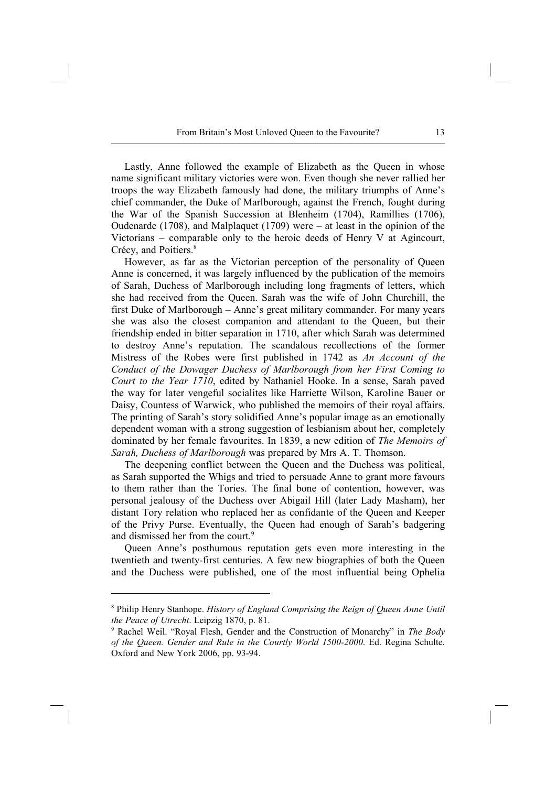Lastly, Anne followed the example of Elizabeth as the Queen in whose name significant military victories were won. Even though she never rallied her troops the way Elizabeth famously had done, the military triumphs of Anne's chief commander, the Duke of Marlborough, against the French, fought during the War of the Spanish Succession at Blenheim (1704), Ramillies (1706), Oudenarde (1708), and Malplaquet (1709) were – at least in the opinion of the Victorians – comparable only to the heroic deeds of Henry V at Agincourt, Crécy, and Poitiers.<sup>8</sup>

However, as far as the Victorian perception of the personality of Queen Anne is concerned, it was largely influenced by the publication of the memoirs of Sarah, Duchess of Marlborough including long fragments of letters, which she had received from the Queen. Sarah was the wife of John Churchill, the first Duke of Marlborough – Anne's great military commander. For many years she was also the closest companion and attendant to the Queen, but their friendship ended in bitter separation in 1710, after which Sarah was determined to destroy Anne's reputation. The scandalous recollections of the former Mistress of the Robes were first published in 1742 as *An Account of the Conduct of the Dowager Duchess of Marlborough from her First Coming to Court to the Year 1710*, edited by Nathaniel Hooke. In a sense, Sarah paved the way for later vengeful socialites like Harriette Wilson, Karoline Bauer or Daisy, Countess of Warwick, who published the memoirs of their royal affairs. The printing of Sarah's story solidified Anne's popular image as an emotionally dependent woman with a strong suggestion of lesbianism about her, completely dominated by her female favourites. In 1839, a new edition of *The Memoirs of Sarah, Duchess of Marlborough* was prepared by Mrs A. T. Thomson.

The deepening conflict between the Queen and the Duchess was political, as Sarah supported the Whigs and tried to persuade Anne to grant more favours to them rather than the Tories. The final bone of contention, however, was personal jealousy of the Duchess over Abigail Hill (later Lady Masham), her distant Tory relation who replaced her as confidante of the Queen and Keeper of the Privy Purse. Eventually, the Queen had enough of Sarah's badgering and dismissed her from the court.<sup>9</sup>

Queen Anne's posthumous reputation gets even more interesting in the twentieth and twenty-first centuries. A few new biographies of both the Queen and the Duchess were published, one of the most influential being Ophelia

<sup>8</sup> Philip Henry Stanhope. *History of England Comprising the Reign of Queen Anne Until the Peace of Utrecht*. Leipzig 1870, p. 81.

<sup>9</sup> Rachel Weil. "Royal Flesh, Gender and the Construction of Monarchy" in *The Body of the Queen. Gender and Rule in the Courtly World 1500-2000*. Ed. Regina Schulte. Oxford and New York 2006, pp. 93-94.